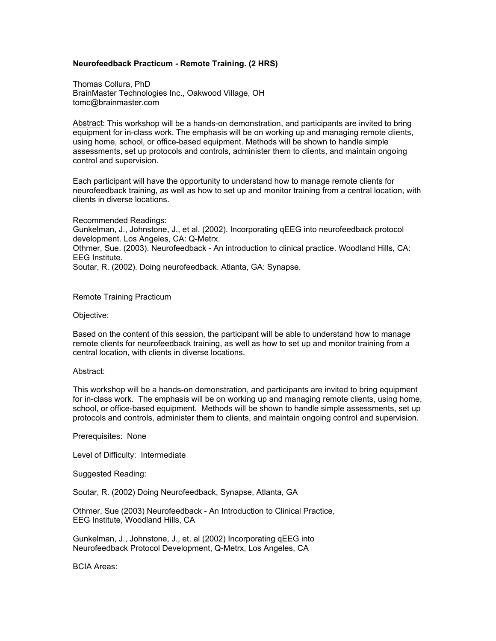## **Neurofeedback Practicum - Remote Training. (2 HRS)**

Thomas Collura, PhD BrainMaster Technologies Inc., Oakwood Village, OH tomc@brainmaster.com

Abstract: This workshop will be a hands-on demonstration, and participants are invited to bring equipment for in-class work. The emphasis will be on working up and managing remote clients, using home, school, or office-based equipment. Methods will be shown to handle simple assessments, set up protocols and controls, administer them to clients, and maintain ongoing control and supervision.

Each participant will have the opportunity to understand how to manage remote clients for neurofeedback training, as well as how to set up and monitor training from a central location, with clients in diverse locations.

Recommended Readings: Gunkelman, J., Johnstone, J., et al. (2002). Incorporating qEEG into neurofeedback protocol development. Los Angeles, CA: Q-Metrx. Othmer, Sue. (2003). Neurofeedback - An introduction to clinical practice. Woodland Hills, CA: EEG Institute. Soutar, R. (2002). Doing neurofeedback. Atlanta, GA: Synapse.

Remote Training Practicum

Objective:

Based on the content of this session, the participant will be able to understand how to manage remote clients for neurofeedback training, as well as how to set up and monitor training from a central location, with clients in diverse locations.

## Abstract:

This workshop will be a hands-on demonstration, and participants are invited to bring equipment for in-class work. The emphasis will be on working up and managing remote clients, using home, school, or office-based equipment. Methods will be shown to handle simple assessments, set up protocols and controls, administer them to clients, and maintain ongoing control and supervision.

Prerequisites: None

Level of Difficulty: Intermediate

Suggested Reading:

Soutar, R. (2002) Doing Neurofeedback, Synapse, Atlanta, GA

Othmer, Sue (2003) Neurofeedback - An Introduction to Clinical Practice, EEG Institute, Woodland Hills, CA

Gunkelman, J., Johnstone, J., et. al (2002) Incorporating qEEG into Neurofeedback Protocol Development, Q-Metrx, Los Angeles, CA

BCIA Areas: